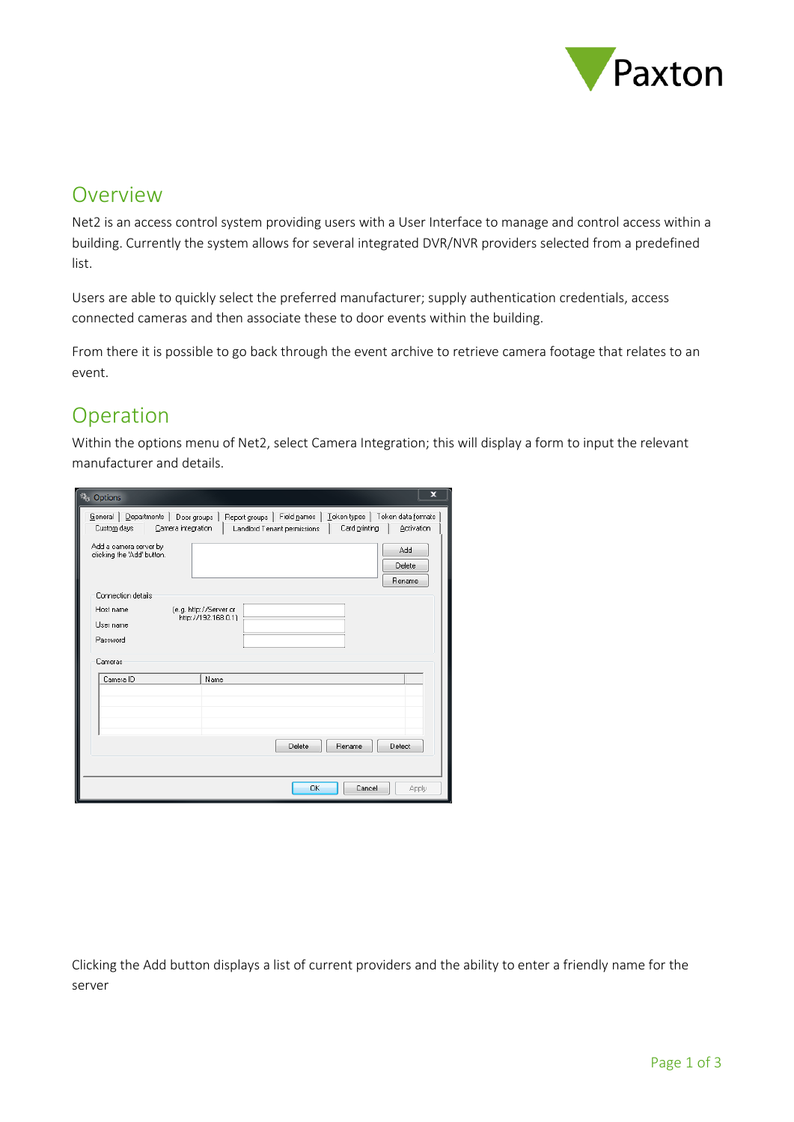

## **Overview**

Net2 is an access control system providing users with a User Interface to manage and control access within a building. Currently the system allows for several integrated DVR/NVR providers selected from a predefined list.

Users are able to quickly select the preferred manufacturer; supply authentication credentials, access connected cameras and then associate these to door events within the building.

From there it is possible to go back through the event archive to retrieve camera footage that relates to an event.

## Operation

Within the options menu of Net2, select Camera Integration; this will display a form to input the relevant manufacturer and details.

| Options                                                                     | ×                                                                                                                                 |
|-----------------------------------------------------------------------------|-----------------------------------------------------------------------------------------------------------------------------------|
| General   Departments  <br>Door groups<br>Custom days<br>Camera integration | Field names<br>Token types<br>Token data formats<br>Report groups  <br>Activation<br>Card printing<br>Landlord Tenant permissions |
| Add a camera server by<br>clicking the 'Add' button.                        | Add<br>Delete<br>Rename                                                                                                           |
| Connection details                                                          |                                                                                                                                   |
| Host name                                                                   | (e.g. http://Server or<br>http://192.168.0.1)                                                                                     |
| User name                                                                   |                                                                                                                                   |
| Password                                                                    |                                                                                                                                   |
| Cameras                                                                     |                                                                                                                                   |
| Camera ID                                                                   | Name                                                                                                                              |
|                                                                             |                                                                                                                                   |
|                                                                             |                                                                                                                                   |
|                                                                             |                                                                                                                                   |
|                                                                             | Delete<br>Rename<br>Detect                                                                                                        |
|                                                                             |                                                                                                                                   |
|                                                                             | Cancel<br>OK<br>Apply                                                                                                             |

Clicking the Add button displays a list of current providers and the ability to enter a friendly name for the server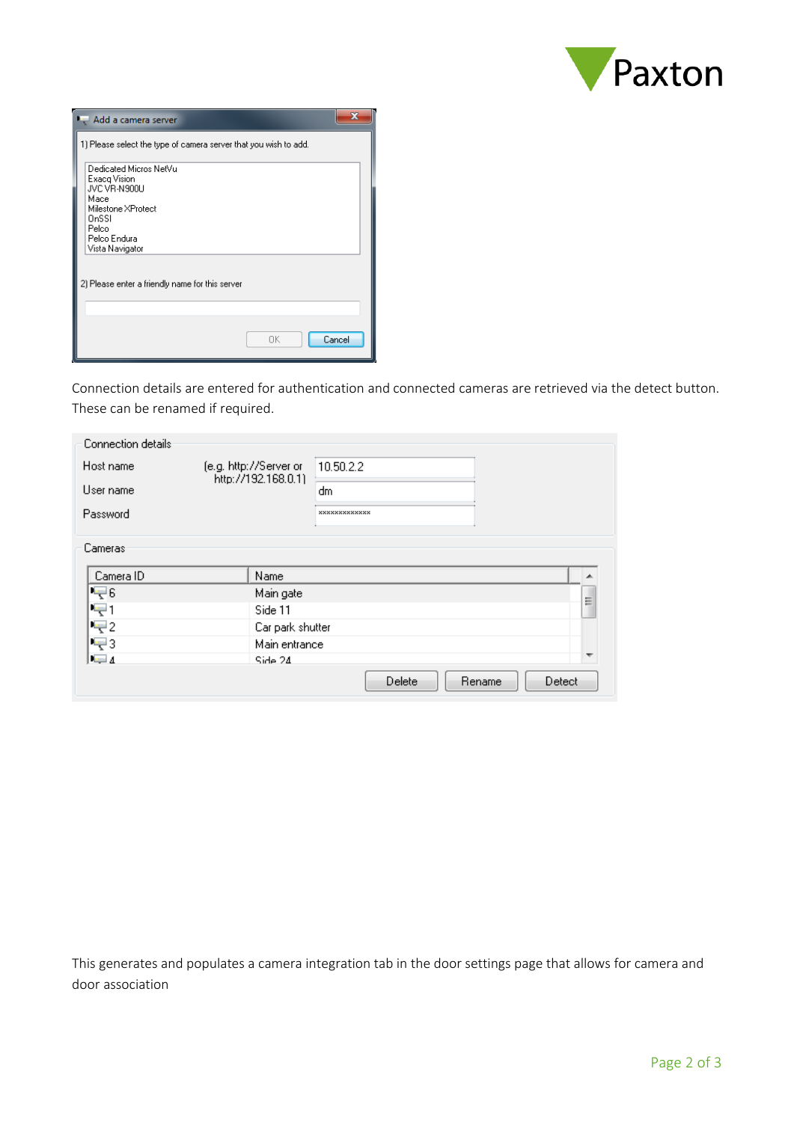

| Add a camera server                                              |              |  |  |  |
|------------------------------------------------------------------|--------------|--|--|--|
| 1) Please select the type of camera server that you wish to add. |              |  |  |  |
| Dedicated Micros NetVu<br>Exacq Vision                           |              |  |  |  |
| JVC VR-N900U<br>Масе<br>Milestone XProtect                       |              |  |  |  |
| OnSSL<br>Pelco                                                   |              |  |  |  |
| Pelco Endura<br>Vista Navigator                                  |              |  |  |  |
| 2) Please enter a friendly name for this server                  |              |  |  |  |
|                                                                  |              |  |  |  |
|                                                                  |              |  |  |  |
|                                                                  | Cancel<br>OΚ |  |  |  |

Connection details are entered for authentication and connected cameras are retrieved via the detect button. These can be renamed if required.

| Connection details |                                               |               |   |
|--------------------|-----------------------------------------------|---------------|---|
| Host name          | (e.g. http://Server.or<br>http://192.168.0.1) | 10.50.2.2     |   |
| User name          |                                               | dm            |   |
| Password           |                                               | ************* |   |
| Cameras            |                                               |               |   |
| Camera ID          | Name                                          |               |   |
| IŞ6                | Main gate                                     |               | Ξ |
| $\equiv$ 1         | Side 11                                       |               |   |
| $\equiv$ 2         | Car park shutter                              |               |   |
| $\equiv$ 3         | Main entrance                                 |               |   |
| $=4$               | Side 24                                       |               |   |
|                    |                                               |               |   |

This generates and populates a camera integration tab in the door settings page that allows for camera and door association